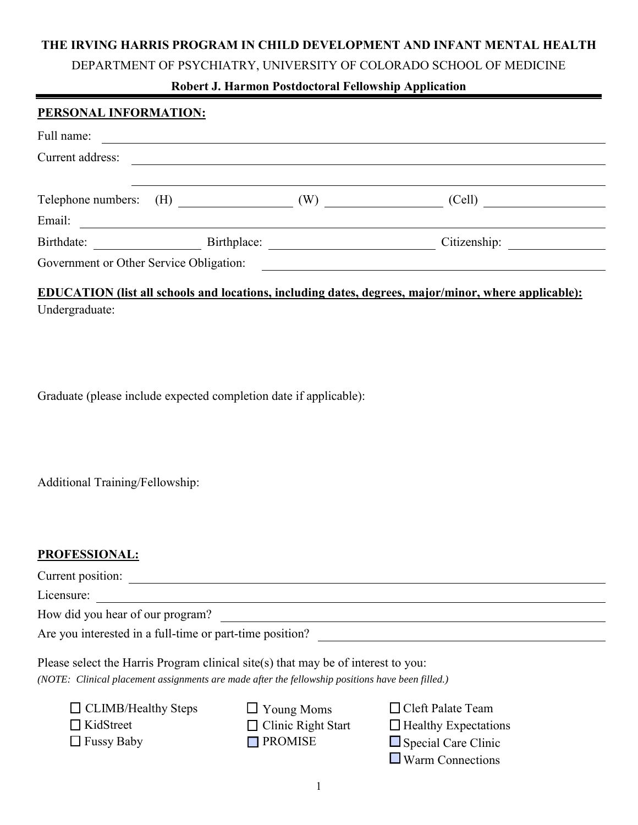## **THE IRVING HARRIS PROGRAM IN CHILD DEVELOPMENT AND INFANT MENTAL HEALTH**

DEPARTMENT OF PSYCHIATRY, UNIVERSITY OF COLORADO SCHOOL OF MEDICINE

# **Robert J. Harmon Postdoctoral Fellowship Application**

#### **PERSONAL INFORMATION:**

| Full name:                              |             |              |  |
|-----------------------------------------|-------------|--------------|--|
| Current address:                        |             |              |  |
|                                         |             |              |  |
| Telephone numbers: (H)                  | (W)         | (Cell)       |  |
| Email:                                  |             |              |  |
| Birthdate:                              | Birthplace: | Citizenship: |  |
| Government or Other Service Obligation: |             |              |  |

# **EDUCATION (list all schools and locations, including dates, degrees, major/minor, where applicable):** Undergraduate:

Graduate (please include expected completion date if applicable):

Additional Training/Fellowship:

#### **PROFESSIONAL:**

| Current position:                                                                                                                                                                     |                           |                             |  |
|---------------------------------------------------------------------------------------------------------------------------------------------------------------------------------------|---------------------------|-----------------------------|--|
| Licensure:                                                                                                                                                                            |                           |                             |  |
| How did you hear of our program?                                                                                                                                                      |                           |                             |  |
| Are you interested in a full-time or part-time position?                                                                                                                              |                           |                             |  |
| Please select the Harris Program clinical site(s) that may be of interest to you:<br>(NOTE: Clinical placement assignments are made after the fellowship positions have been filled.) |                           |                             |  |
| $\Box$ CLIMB/Healthy Steps                                                                                                                                                            | $\Box$ Young Moms         | $\Box$ Cleft Palate Team    |  |
| KidStreet                                                                                                                                                                             | $\Box$ Clinic Right Start | $\Box$ Healthy Expectations |  |

 $\Box$  Fussy Baby

- **PROMISE**
- Special Care Clinic
- Warm Connections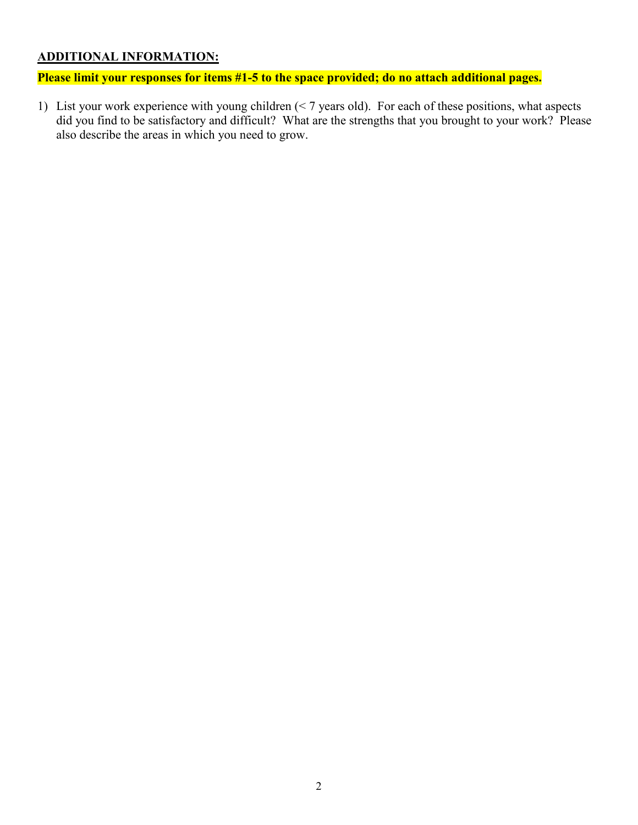# **ADDITIONAL INFORMATION:**

**Please limit your responses for items #1-5 to the space provided; do no attach additional pages.** 

1) List your work experience with young children (< 7 years old). For each of these positions, what aspects did you find to be satisfactory and difficult? What are the strengths that you brought to your work? Please also describe the areas in which you need to grow.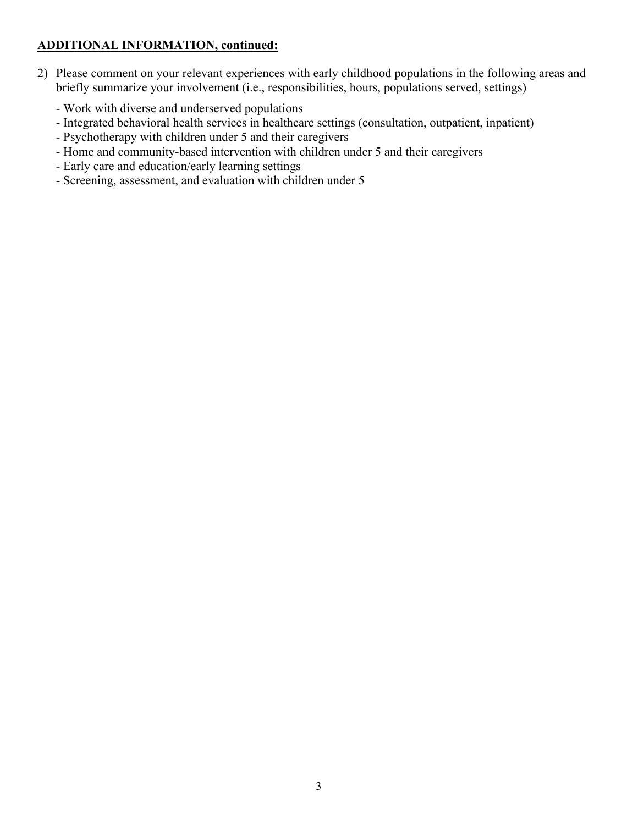# **ADDITIONAL INFORMATION, continued:**

- 2) Please comment on your relevant experiences with early childhood populations in the following areas and briefly summarize your involvement (i.e., responsibilities, hours, populations served, settings)
	- Work with diverse and underserved populations
	- Integrated behavioral health services in healthcare settings (consultation, outpatient, inpatient)
	- Psychotherapy with children under 5 and their caregivers
	- Home and community-based intervention with children under 5 and their caregivers
	- Early care and education/early learning settings
	- Screening, assessment, and evaluation with children under 5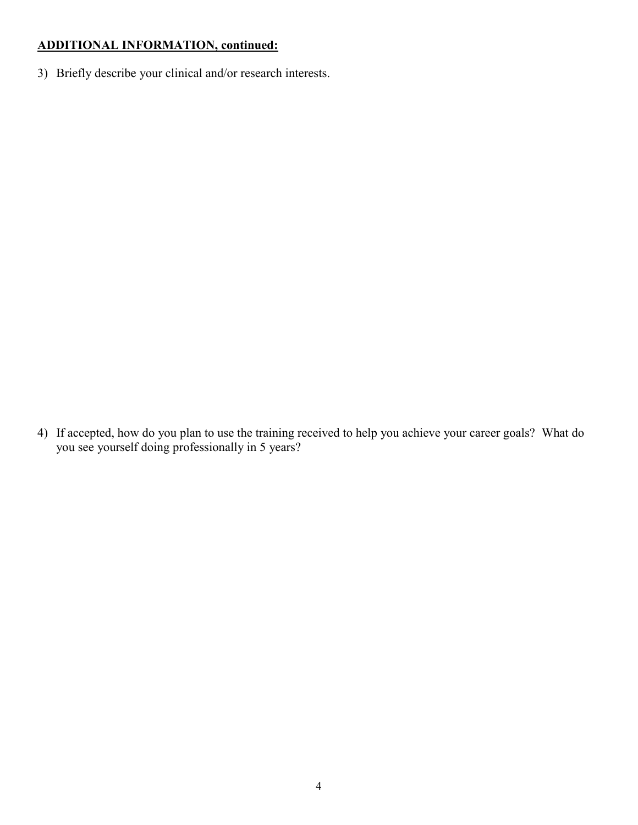# **ADDITIONAL INFORMATION, continued:**

3) Briefly describe your clinical and/or research interests.

4) If accepted, how do you plan to use the training received to help you achieve your career goals? What do you see yourself doing professionally in 5 years?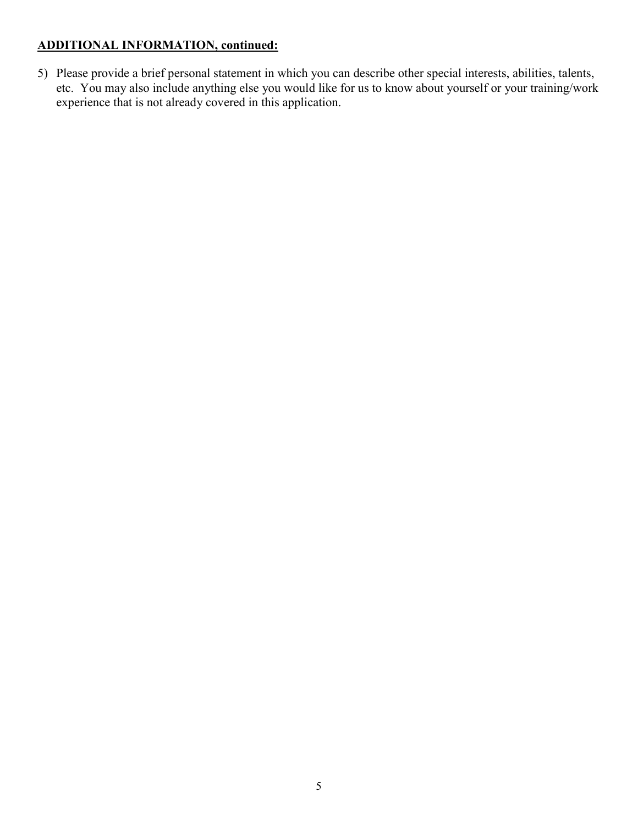# **ADDITIONAL INFORMATION, continued:**

5) Please provide a brief personal statement in which you can describe other special interests, abilities, talents, etc. You may also include anything else you would like for us to know about yourself or your training/work experience that is not already covered in this application.